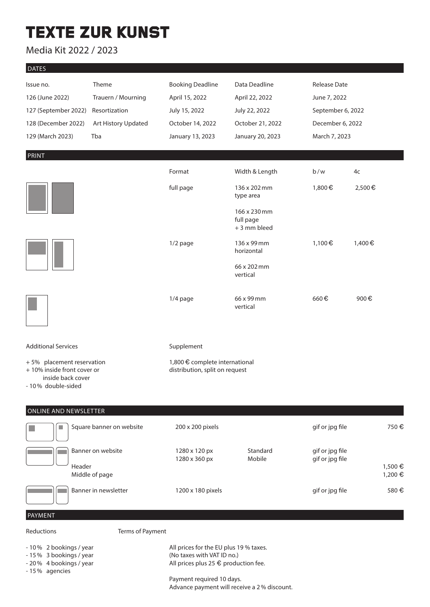# **TEXTE ZUR KUNST**

### Media Kit 2022 / 2023

| J<br>ıA |
|---------|
|         |

| Issue no.<br>126 (June 2022)<br>127 (September 2022)<br>128 (December 2022)<br>129 (March 2023)    | Theme<br>Trauern / Mourning<br>Resortization<br>Art History Updated<br>Tba | <b>Booking Deadline</b><br>April 15, 2022<br>July 15, 2022<br>October 14, 2022<br>January 13, 2023                    | Data Deadline<br>April 22, 2022<br>July 22, 2022<br>October 21, 2022<br>January 20, 2023 | <b>Release Date</b><br>June 7, 2022<br>September 6, 2022<br>December 6, 2022<br>March 7, 2023 |                    |  |  |
|----------------------------------------------------------------------------------------------------|----------------------------------------------------------------------------|-----------------------------------------------------------------------------------------------------------------------|------------------------------------------------------------------------------------------|-----------------------------------------------------------------------------------------------|--------------------|--|--|
| <b>PRINT</b>                                                                                       |                                                                            |                                                                                                                       |                                                                                          |                                                                                               |                    |  |  |
|                                                                                                    |                                                                            | Format                                                                                                                | Width & Length                                                                           | b/w                                                                                           | 4c                 |  |  |
|                                                                                                    |                                                                            | full page                                                                                                             | 136 x 202 mm<br>type area                                                                | 1,800€                                                                                        | 2,500€             |  |  |
|                                                                                                    |                                                                            |                                                                                                                       | 166 x 230 mm<br>full page<br>+ 3 mm bleed                                                |                                                                                               |                    |  |  |
|                                                                                                    |                                                                            | 1/2 page                                                                                                              | 136 x 99 mm<br>horizontal                                                                | 1,100€                                                                                        | 1,400€             |  |  |
|                                                                                                    |                                                                            |                                                                                                                       | 66 x 202 mm<br>vertical                                                                  |                                                                                               |                    |  |  |
|                                                                                                    |                                                                            | 1/4 page                                                                                                              | 66 x 99 mm<br>vertical                                                                   | 660€                                                                                          | 900€               |  |  |
| <b>Additional Services</b>                                                                         |                                                                            | Supplement                                                                                                            |                                                                                          |                                                                                               |                    |  |  |
| +5% placement reservation<br>+10% inside front cover or<br>inside back cover<br>- 10% double-sided |                                                                            | 1,800 € complete international<br>distribution, split on request                                                      |                                                                                          |                                                                                               |                    |  |  |
| <b>ONLINE AND NEWSLETTER</b>                                                                       |                                                                            |                                                                                                                       |                                                                                          |                                                                                               |                    |  |  |
| H.                                                                                                 | Square banner on website                                                   | 200 x 200 pixels                                                                                                      |                                                                                          | gif or jpg file                                                                               | 750€               |  |  |
|                                                                                                    | Banner on website                                                          | 1280 x 120 px<br>1280 x 360 px                                                                                        | Standard<br>Mobile                                                                       | gif or jpg file<br>gif or jpg file                                                            |                    |  |  |
| Header                                                                                             | Middle of page                                                             |                                                                                                                       |                                                                                          |                                                                                               | 1,500 €<br>1,200 € |  |  |
|                                                                                                    | Banner in newsletter                                                       | 1200 x 180 pixels                                                                                                     |                                                                                          | gif or jpg file                                                                               | 580€               |  |  |
| PAYMENT                                                                                            |                                                                            |                                                                                                                       |                                                                                          |                                                                                               |                    |  |  |
| Terms of Payment<br>Reductions                                                                     |                                                                            |                                                                                                                       |                                                                                          |                                                                                               |                    |  |  |
| - 10% 2 bookings / year<br>-15% 3 bookings / year<br>- 20% 4 bookings / year<br>- 15% agencies     |                                                                            | All prices for the EU plus 19 % taxes.<br>(No taxes with VAT ID no.)<br>All prices plus 25 $\epsilon$ production fee. |                                                                                          |                                                                                               |                    |  |  |
|                                                                                                    |                                                                            | Payment required 10 days.                                                                                             |                                                                                          |                                                                                               |                    |  |  |

Advance payment will receive a 2% discount.